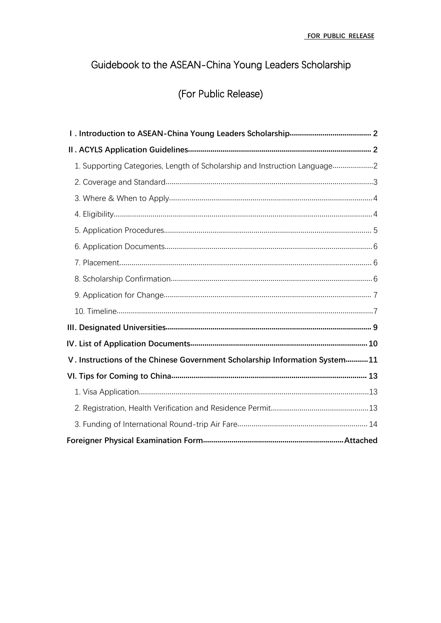# Guidebook to the ASEAN-China Young Leaders Scholarship

# (For Public Release)

| 1. Supporting Categories, Length of Scholarship and Instruction Language2  |  |
|----------------------------------------------------------------------------|--|
|                                                                            |  |
|                                                                            |  |
|                                                                            |  |
|                                                                            |  |
|                                                                            |  |
|                                                                            |  |
|                                                                            |  |
|                                                                            |  |
|                                                                            |  |
|                                                                            |  |
|                                                                            |  |
| V. Instructions of the Chinese Government Scholarship Information System11 |  |
|                                                                            |  |
|                                                                            |  |
|                                                                            |  |
|                                                                            |  |
|                                                                            |  |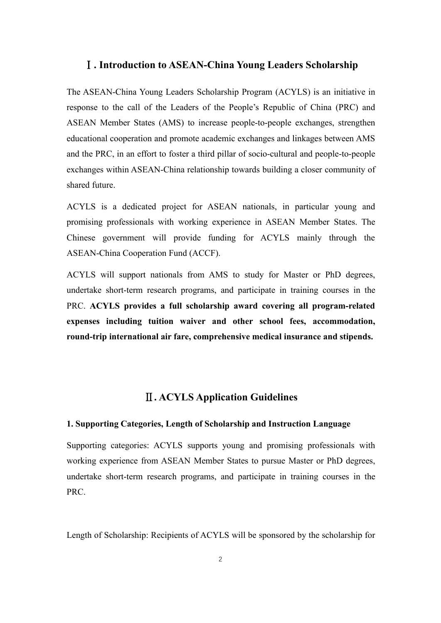## Ⅰ**. Introduction to ASEAN-China Young Leaders Scholarship**

The ASEAN-China Young Leaders Scholarship Program (ACYLS) is an initiative in response to the call of the Leaders of the People's Republic of China (PRC) and ASEAN Member States (AMS) to increase people-to-people exchanges, strengthen educational cooperation and promote academic exchanges and linkages between AMS and the PRC, in an effort to foster a third pillar of socio-cultural and people-to-people exchanges within ASEAN-China relationship towards building a closer community of shared future.

ACYLS is a dedicated project for ASEAN nationals, in particular young and promising professionals with working experience in ASEAN Member States. The Chinese government will provide funding for ACYLS mainly through the ASEAN-China Cooperation Fund (ACCF).

ACYLS will support nationals from AMS to study for Master or PhD degrees, undertake short-term research programs, and participate in training courses in the PRC. **ACYLS provides a full scholarship award covering all program-related expenses including tuition waiver and other school fees, accommodation, round-trip international air fare, comprehensive medical insurance and stipends.**

# Ⅱ**. ACYLS Application Guidelines**

### **1. Supporting Categories, Length of Scholarship and Instruction Language**

Supporting categories: ACYLS supports young and promising professionals with working experience from ASEAN Member States to pursue Master or PhD degrees, undertake short-term research programs, and participate in training courses in the PRC.

Length of Scholarship: Recipients of ACYLS will be sponsored by the scholarship for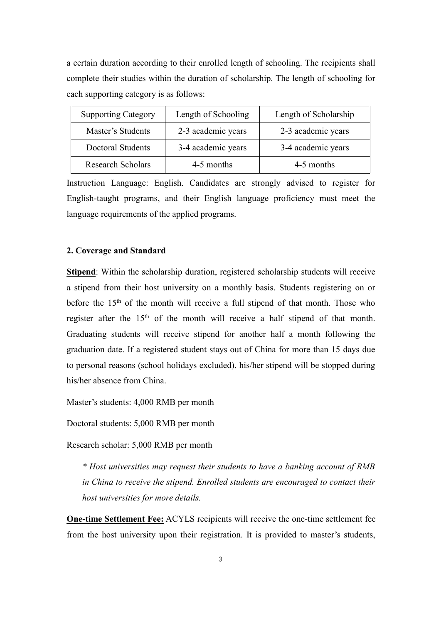a certain duration according to their enrolled length of schooling. The recipients shall complete their studies within the duration of scholarship. The length of schooling for each supporting category is as follows:

| <b>Supporting Category</b> | Length of Schooling | Length of Scholarship |
|----------------------------|---------------------|-----------------------|
| Master's Students          | 2-3 academic years  | 2-3 academic years    |
| Doctoral Students          | 3-4 academic years  | 3-4 academic years    |
| <b>Research Scholars</b>   | 4-5 months          |                       |

Instruction Language: English. Candidates are strongly advised to register for English-taught programs, and their English language proficiency must meet the language requirements of the applied programs.

### **2. Coverage and Standard**

**Stipend**: Within the scholarship duration, registered scholarship students will receive a stipend from their host university on a monthly basis. Students registering on or before the 15<sup>th</sup> of the month will receive a full stipend of that month. Those who register after the 15<sup>th</sup> of the month will receive a half stipend of that month. Graduating students will receive stipend for another half a month following the graduation date. If a registered student stays out of China for more than 15 days due to personal reasons (school holidays excluded), his/her stipend will be stopped during his/her absence from China.

Master's students: 4,000 RMB per month

Doctoral students: 5,000 RMB per month

Research scholar: 5,000 RMB per month

*\* Host universities may requesttheir students to have a banking account of RMB in China to receive the stipend. Enrolled students are encouraged to contacttheir host universities for more details.*

**One-time Settlement Fee:** ACYLS recipients will receive the one-time settlement fee from the host university upon their registration. It is provided to master's students,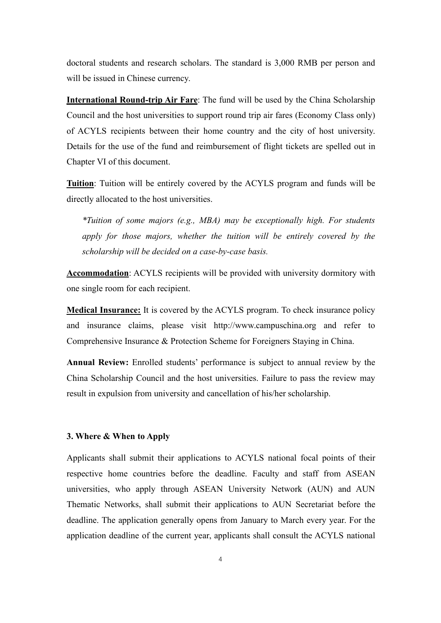doctoral students and research scholars. The standard is 3,000 RMB per person and will be issued in Chinese currency.

**International Round-trip Air Fare**: The fund will be used by the China Scholarship Council and the host universities to support round trip air fares (Economy Class only) of ACYLS recipients between their home country and the city of host university. Details for the use of the fund and reimbursement of flight tickets are spelled out in Chapter VI of this document.

**Tuition**: Tuition will be entirely covered by the ACYLS program and funds will be directly allocated to the host universities.

*\*Tuition of some majors (e.g., MBA) may be exceptionally high. For students apply for those majors, whether the tuition will be entirely covered by the scholarship will be decided on a case-by-case basis.*

**Accommodation**: ACYLS recipients will be provided with university dormitory with one single room for each recipient.

**Medical Insurance:** It is covered by the ACYLS program. To check insurance policy and insurance claims, please visit http://www.campuschina.org and refer to Comprehensive Insurance & Protection Scheme for Foreigners Staying in China.

Annual Review: Enrolled students' performance is subject to annual review by the China Scholarship Council and the host universities. Failure to passthe review may result in expulsion from university and cancellation of his/her scholarship.

## **3. Where & When to Apply**

Applicants shall submit their applications to ACYLS national focal points of their respective home countries before the deadline. Faculty and staff from ASEAN universities, who apply through ASEAN University Network (AUN) and AUN Thematic Networks, shall submit their applications to AUN Secretariat before the deadline. The application generally opens from January to March every year. For the application deadline of the current year, applicants shall consult the ACYLS national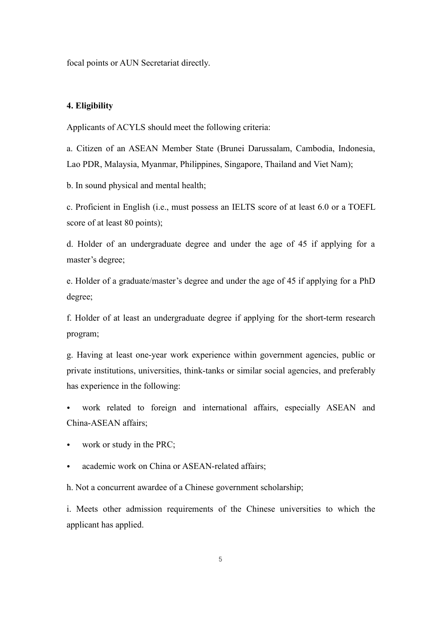focal points or AUN Secretariat directly.

### **4. Eligibility**

Applicants of ACYLS should meet the following criteria:

a. Citizen of an ASEAN Member State (Brunei Darussalam, Cambodia, Indonesia, Lao PDR, Malaysia, Myanmar, Philippines, Singapore, Thailand and Viet Nam);

b. In sound physical and mental health;

c. Proficient in English (i.e., must possess an IELTS score of atleast 6.0 or a TOEFL score of at least 80 points);

d. Holder of an undergraduate degree and under the age of 45 if applying for a master's degree;

e. Holder of a graduate/master's degree and under the age of 45 if applying for a PhD degree;

f. Holder of at least an undergraduate degree if applying for the short-term research program;

g. Having at least one-year work experience within government agencies, public or private institutions, universities, think-tanks or similar social agencies, and preferably has experience in the following:

work related to foreign and international affairs, especially ASEAN and China-ASEAN affairs;

work or study in the PRC;

academic work on China or ASEAN-related affairs;

h. Not a concurrent awardee of a Chinese government scholarship;

i. Meets other admission requirements of the Chinese universities to which the applicant has applied.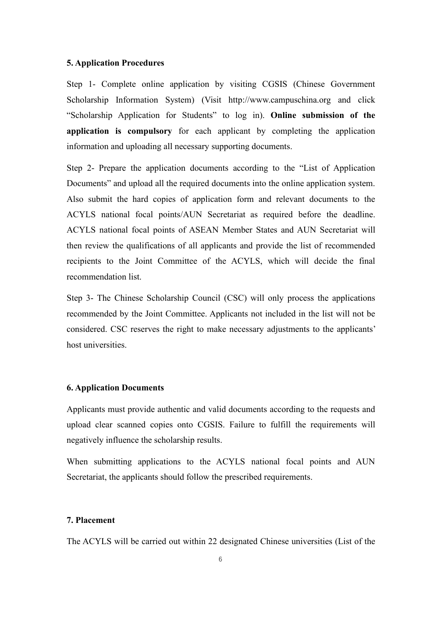#### **5. Application Procedures**

Step 1- Complete online application by visiting CGSIS (Chinese Government Scholarship Information System) (Visit http://www.campuschina.org and click "Scholarship Application for Students" to log in). **Online submission of the application is compulsory** for each applicant by completing the application information and uploading all necessary supporting documents.

Step 2- Prepare the application documents according to the "List of Application" Documents" and upload all the required documents into the online application system. Also submit the hard copies of application form and relevant documents to the ACYLS national focal points/AUN Secretariat as required before the deadline. ACYLS national focal points of ASEAN Member States and AUN Secretariat will then review the qualifications of all applicants and provide the listof recommended recipients to the Joint Committee of the ACYLS, which will decide the final recommendation list.

Step 3- The Chinese Scholarship Council (CSC) will only process the applications recommended by the Joint Committee. Applicants not included in the listwill not be considered. CSC reserves the right to make necessary adjustments to the applicants' host universities.

### **6. Application Documents**

Applicants must provide authentic and valid documents according to the requests and upload clear scanned copies onto CGSIS. Failure to fulfill the requirements will negatively influence the scholarship results.

When submitting applications to the ACYLS national focal points and AUN Secretariat, the applicants should follow the prescribed requirements.

### **7. Placement**

The ACYLS will be carried out within 22 designated Chinese universities (Listof the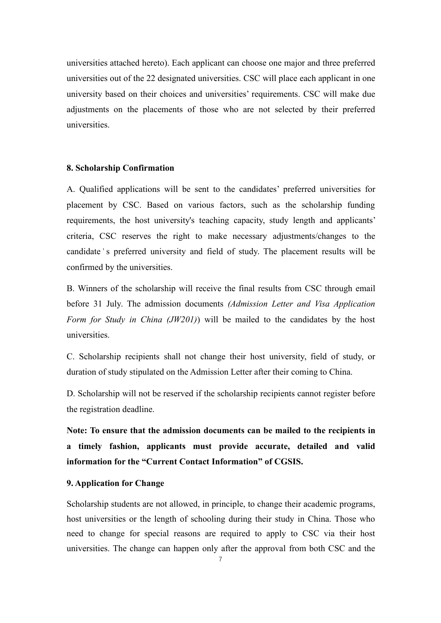universities attached hereto). Each applicant can choose one major and three preferred universities out of the 22 designated universities. CSC will place each applicant in one university based on their choices and universities' requirements. CSC will make due adjustments on the placements of those who are not selected by their preferred universities.

### **8. Scholarship Confirmation**

A. Qualified applications will be sent to the candidates' preferred universities for placement by CSC. Based on various factors, such as the scholarship funding requirements, the host university's teaching capacity, study length and applicants' criteria, CSC reserves the right to make necessary adjustments/changes to the candidate 's preferred university and field of study. The placement results will be confirmed by the universities.

B. Winners of the scholarship will receive the final results from CSC through email before 31 July. The admission documents *(Admission Letter and Visa Application Form for Study in China (JW201)*) will be mailed to the candidates by the host universities.

C. Scholarship recipients shall not change their host university, field of study, or duration of study stipulated on the Admission Letter after their coming to China.

D. Scholarship will not be reserved if the scholarship recipients cannot register before the registration deadline.

**Note: To ensure that the admission documents can be mailed to the recipients in a timely fashion, applicants must provide accurate, detailed and valid information for the "Current Contact Information" of CGSIS.**

# **9. Application for Change**

Scholarship students are not allowed, in principle, to change their academic programs, host universities or the length of schooling during their study in China. Those who need to change for special reasons are required to apply to CSC via their host universities. The change can happen only after the approval from both CSC and the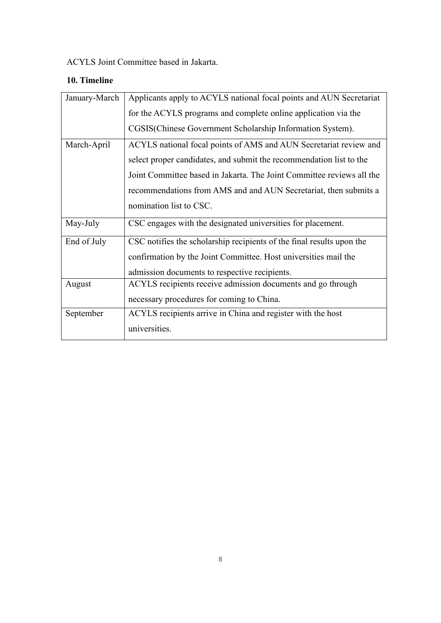ACYLS Joint Committee based in Jakarta.

# **10. Timeline**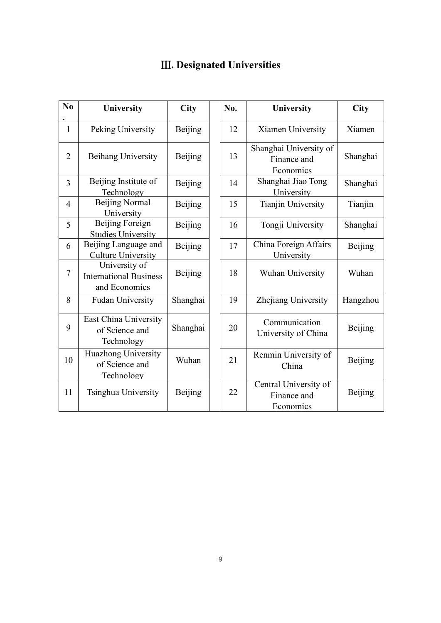# Ⅲ**. Designated Universities**

| N <sub>0</sub>   | University                                                      | <b>City</b>    | No. | University                                         | <b>City</b>    |
|------------------|-----------------------------------------------------------------|----------------|-----|----------------------------------------------------|----------------|
| $\mathbf{1}$     | Peking University                                               | <b>Beijing</b> | 12  | Xiamen University                                  | Xiamen         |
| $\overline{2}$   | Beihang University                                              | <b>Beijing</b> | 13  | Shanghai University of<br>Finance and<br>Economics | Shanghai       |
| $\overline{3}$   | Beijing Institute of<br>Technology                              | <b>Beijing</b> | 14  | Shanghai Jiao Tong<br>University                   | Shanghai       |
| $\overline{4}$   | <b>Beijing Normal</b><br>University                             | <b>Beijing</b> | 15  | <b>Tianjin University</b>                          | Tianjin        |
| 5                | Beijing Foreign<br><b>Studies University</b>                    | <b>Beijing</b> | 16  | Tongji University                                  | Shanghai       |
| 6                | Beijing Language and<br><b>Culture University</b>               | <b>Beijing</b> | 17  | China Foreign Affairs<br>University                | <b>Beijing</b> |
| $\boldsymbol{7}$ | University of<br><b>International Business</b><br>and Economics | <b>Beijing</b> | 18  | Wuhan University                                   | Wuhan          |
| 8                | <b>Fudan University</b>                                         | Shanghai       | 19  | Zhejiang University                                | Hangzhou       |
| 9                | East China University<br>of Science and<br>Technology           | Shanghai       | 20  | Communication<br>University of China               | <b>Beijing</b> |
| 10               | Huazhong University<br>of Science and<br>Technology             | Wuhan          | 21  | Renmin University of<br>China                      | <b>Beijing</b> |
| 11               | Tsinghua University                                             | <b>Beijing</b> | 22  | Central University of<br>Finance and<br>Economics  | <b>Beijing</b> |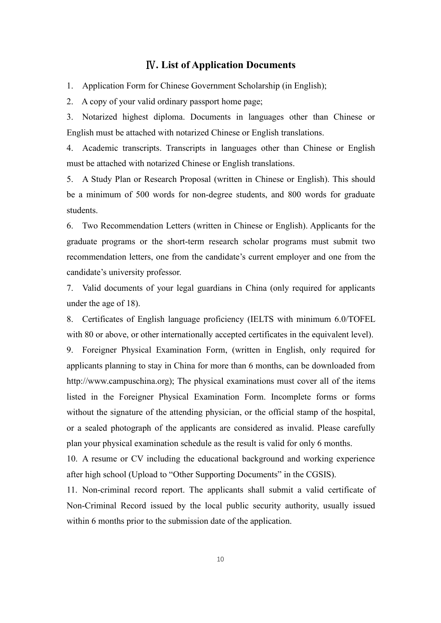# Ⅳ**. List of Application Documents**

1. Application Form for Chinese Government Scholarship (in English);

2. A copy of your valid ordinary passport home page;

3. Notarized highest diploma. Documents in languages other than Chinese or English must be attached with notarized Chinese or English translations.

4. Academic transcripts. Transcripts in languages other than Chinese or English must be attached with notarized Chinese or English translations.

5. A Study Plan or Research Proposal (written in Chinese or English). This should be a minimum of 500 words for non-degree students, and 800 words for graduate students.

6. Two Recommendation Letters (written in Chinese or English). Applicants for the graduate programs or the short-term research scholar programs must submit two recommendation letters, one from the candidate's current employer and one from the candidate's university professor.

7. Valid documents of your legal guardians in China (only required for applicants under the age of 18).

8. Certificates of English language proficiency (IELTS with minimum 6.0/TOFEL with 80 or above, or other internationally accepted certificates in the equivalent level).

9. Foreigner Physical Examination Form, (written in English, only required for applicants planning to stay in China for more than 6 months, can be downloaded from http://www.campuschina.org); The physical examinations must cover all of the items listed in the Foreigner Physical Examination Form. Incomplete forms or forms without the signature of the attending physician, or the official stamp of the hospital, or a sealed photograph of the applicants are considered as invalid. Please carefully plan your physical examination schedule asthe result is valid for only 6 months.

10. A resume or CV including the educational background and working experience after high school (Upload to "Other Supporting Documents" in the CGSIS).<br>11. Non-criminal record report. The applicants shall submit a valid certificate of

Non-Criminal Record issued by the local public security authority, usually issued within 6 months prior to the submission date of the application.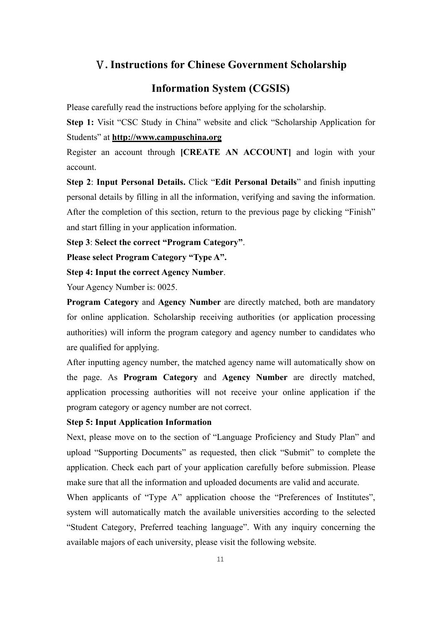# Ⅴ**. Instructions for Chinese Government Scholarship**

# **Information System (CGSIS)**

Please carefully read the instructions before applying for the scholarship.

**Step 1:** Visit "CSC Study in China" website and click "Scholarship Application for Students" at **http://www.campuschina.org**

Register an account through **[CREATE AN ACCOUNT]** and login with your account.

**Step 2**: **Input Personal Details.** Click "**Edit Personal Details**" and finish inputting personal details by filling in all the information, verifying and saving the information. After the completion of this section, return to the previous page by clicking "Finish" and start filling in your application information.

**Step 3**: **Select the correct "Program Category"**.

**Please select Program Category "Type A".**

**Step 4: Input the correct Agency Number**.

Your Agency Number is: 0025.

**Program Category** and **Agency Number** are directly matched, both are mandatory for online application. Scholarship receiving authorities (or application processing authorities) will inform the program category and agency number to candidates who are qualified for applying.

After inputting agency number, the matched agency name will automatically show on the page. As **Program Category** and **Agency Number** are directly matched, application processing authorities will not receive your online application if the program category or agency number are not correct.

## **Step 5: Input Application Information**

Next, please move on to the section of "Language Proficiency and Study Plan" and upload "Supporting Documents" as requested, then click "Submit" to complete the application. Check each part of your application carefully before submission. Please make sure that all the information and uploaded documents are valid and accurate.

When applicants of "Type A" application choose the "Preferences of Institutes", system will automatically match the available universities according to the selected "Student Category, Preferred teaching language".With any inquiry concerning the available majors of each university, please visit the following website.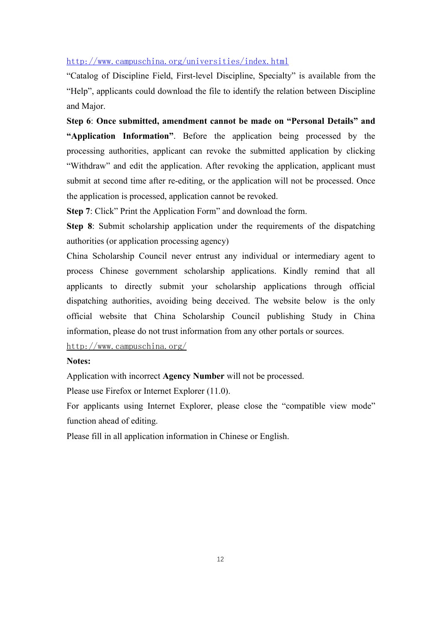# <http://www.campuschina.org/universities/index.html>

"Catalog of Discipline Field, First-level Discipline, Specialty" is available from the "Help", applicants could download the file to identify the relation between Discipline and Major.

**Step 6**: **Once submitted, amendment cannot be made on "Personal Details" and "Application Information"**. Before the application being processed by the processing authorities, applicant can revoke the submitted application by clicking "Withdraw" and edit the application. After revoking the application, applicant must submit at second time after re-editing, or the application will not be processed. Once the application is processed, application cannot be revoked.

**Step 7**: Click" Print the Application Form" and download the form.

**Step 8**: Submit scholarship application under the requirements of the dispatching authorities (or application processing agency)

China Scholarship Council never entrust any individual or intermediary agent to process Chinese government scholarship applications. Kindly remind that all applicants to directly submit your scholarship applications through official dispatching authorities, avoiding being deceived. The website below is the only official website that China Scholarship Council publishing Study in China information, please do not trust information from any other portals orsources.

http://www.campuschina.org/

# **Notes:**

Application with incorrect **Agency Number** will not be processed.

Please use Firefox or Internet Explorer (11.0).

For applicants using Internet Explorer, please close the "compatible view mode" function ahead of editing.

Please fill in all application information in Chinese or English.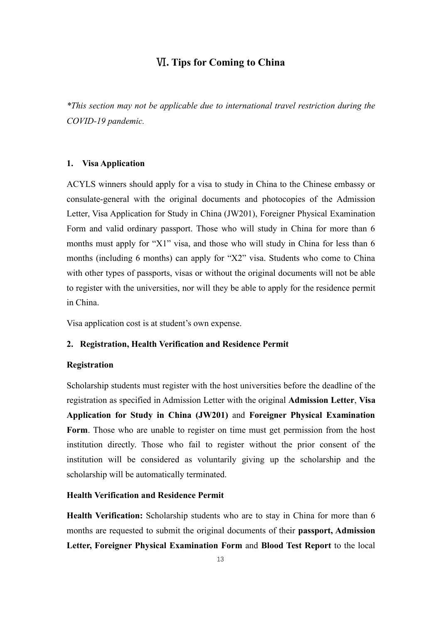# Ⅵ**. Tips for Coming to China**

*\*This section may not be applicable due to international travel restriction during the COVID-19 pandemic.*

### **1. Visa Application**

ACYLS winners should apply for a visa to study in China to the Chinese embassy or consulate-general with the original documents and photocopies of the Admission Letter, Visa Application for Study in China (JW201), Foreigner Physical Examination Form and valid ordinary passport. Those who will study in China for more than 6 months must apply for "X1" visa, and those who will study in China for less than 6 months (including 6 months) can apply for "X2" visa. Students who come to China with other types of passports, visas or without the original documents will not be able to register with the universities, nor will they be able to apply for the residence permit in China.

Visa application cost is at student's own expense.

# **2. Registration, Health Verification and Residence Permit**

### **Registration**

Scholarship students must register with the host universities before the deadline of the registration as specified in Admission Letter with the original **Admission Letter**, **Visa Application for Study in China (JW201)** and **Foreigner Physical Examination Form**. Those who are unable to register on time must get permission from the host institution directly. Those who fail to register without the prior consent of the institution will be considered as voluntarily giving up the scholarship and the scholarship will be automatically terminated.

### **Health Verification and Residence Permit**

**Health Verification:** Scholarship students who are to stay in China for more than 6 months are requested to submit the original documents of their **passport, Admission Letter, Foreigner Physical Examination Form** and **Blood Test Report** to the local